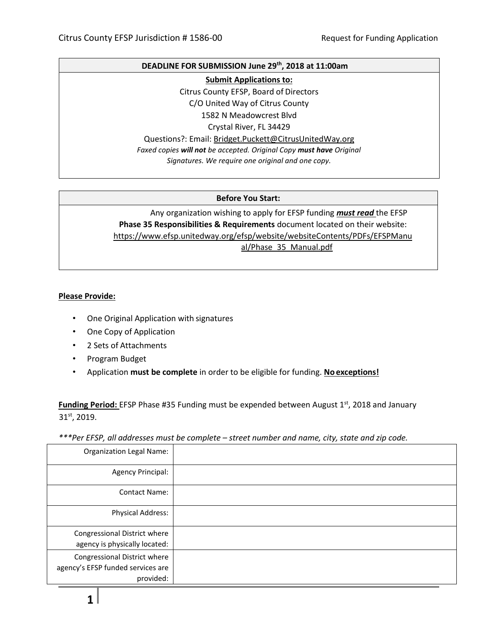#### **DEADLINE FOR SUBMISSION June 29th, 2018 at 11:00am**

**Submit Applications to:**

Citrus County EFSP, Board of Directors

C/O United Way of Citrus County

1582 N Meadowcrest Blvd Crystal River, FL 34429

Questions?: Email: [Bridget.Puckett@CitrusUnitedWay.org](mailto:Bridget.Puckett@CitrusUnitedWay.org)

*Faxed copies will not be accepted. Original Copy must have Original Signatures. We require one original and one copy.*

### **Before You Start:**

Any organization wishing to apply for EFSP funding *must read* the EFSP **Phase 35 Responsibilities & Requirements** document located on their website: [https://www.efsp.unitedway.org/efsp/website/websiteContents/PDFs/EFSPManu](https://www.efsp.unitedway.org/efsp/website/websiteContents/PDFs/EFSPManual/Phase_35_Manual.pdf) [al/Phase\\_35\\_Manual.pdf](https://www.efsp.unitedway.org/efsp/website/websiteContents/PDFs/EFSPManual/Phase_35_Manual.pdf)

### **Please Provide:**

- One Original Application with signatures
- One Copy of Application
- 2 Sets of Attachments
- Program Budget
- Application **must be complete** in order to be eligible for funding. **No exceptions!**

Funding Period: EFSP Phase #35 Funding must be expended between August 1<sup>st</sup>, 2018 and January 31st, 2019.

*\*\*\*Per EFSP, all addresses must be complete – street number and name, city, state and zip code.*

| <b>Organization Legal Name:</b>                                                |  |
|--------------------------------------------------------------------------------|--|
| <b>Agency Principal:</b>                                                       |  |
| <b>Contact Name:</b>                                                           |  |
| <b>Physical Address:</b>                                                       |  |
| Congressional District where<br>agency is physically located:                  |  |
| Congressional District where<br>agency's EFSP funded services are<br>provided: |  |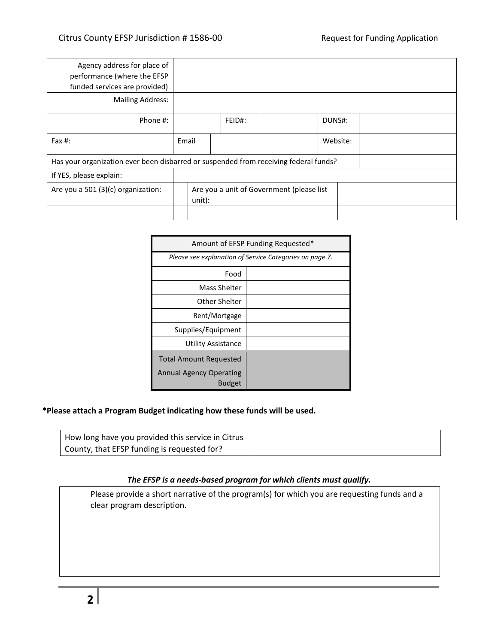|                                                                                      | Agency address for place of<br>performance (where the EFSP<br>funded services are provided) |                                                     |        |  |  |        |  |
|--------------------------------------------------------------------------------------|---------------------------------------------------------------------------------------------|-----------------------------------------------------|--------|--|--|--------|--|
|                                                                                      | <b>Mailing Address:</b>                                                                     |                                                     |        |  |  |        |  |
|                                                                                      | Phone #:                                                                                    |                                                     | FEID#: |  |  | DUNS#: |  |
| Fax #:                                                                               |                                                                                             | Website:<br>Email                                   |        |  |  |        |  |
| Has your organization ever been disbarred or suspended from receiving federal funds? |                                                                                             |                                                     |        |  |  |        |  |
| If YES, please explain:                                                              |                                                                                             |                                                     |        |  |  |        |  |
|                                                                                      | Are you a 501 (3)(c) organization:                                                          | Are you a unit of Government (please list<br>unit): |        |  |  |        |  |
|                                                                                      |                                                                                             |                                                     |        |  |  |        |  |

| Amount of EFSP Funding Requested*                       |  |  |  |  |
|---------------------------------------------------------|--|--|--|--|
| Please see explanation of Service Categories on page 7. |  |  |  |  |
| Food                                                    |  |  |  |  |
| Mass Shelter                                            |  |  |  |  |
| Other Shelter                                           |  |  |  |  |
| Rent/Mortgage                                           |  |  |  |  |
| Supplies/Equipment                                      |  |  |  |  |
| Utility Assistance                                      |  |  |  |  |
| <b>Total Amount Requested</b>                           |  |  |  |  |
| <b>Annual Agency Operating</b><br><b>Budget</b>         |  |  |  |  |

# **\*Please attach a Program Budget indicating how these funds will be used.**

| How long have you provided this service in Citrus |
|---------------------------------------------------|
| County, that EFSP funding is requested for?       |

# *The EFSP is a needs-based program for which clients must qualify.*

Please provide a short narrative of the program(s) for which you are requesting funds and a clear program description.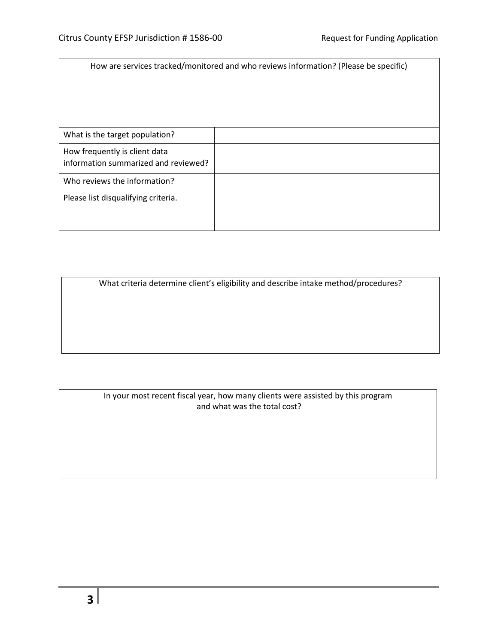| How are services tracked/monitored and who reviews information? (Please be specific) |  |  |  |  |
|--------------------------------------------------------------------------------------|--|--|--|--|
| What is the target population?                                                       |  |  |  |  |
| How frequently is client data<br>information summarized and reviewed?                |  |  |  |  |
| Who reviews the information?                                                         |  |  |  |  |
| Please list disqualifying criteria.                                                  |  |  |  |  |

What criteria determine client's eligibility and describe intake method/procedures?

In your most recent fiscal year, how many clients were assisted by this program and what was the total cost?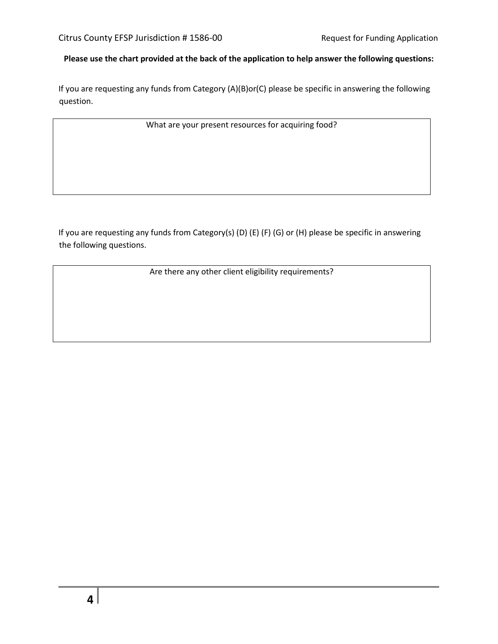# **Please use the chart provided at the back of the application to help answer the following questions:**

If you are requesting any funds from Category (A)(B)or(C) please be specific in answering the following question.

What are your present resources for acquiring food?

If you are requesting any funds from Category(s) (D) (E) (F) (G) or (H) please be specific in answering the following questions.

Are there any other client eligibility requirements?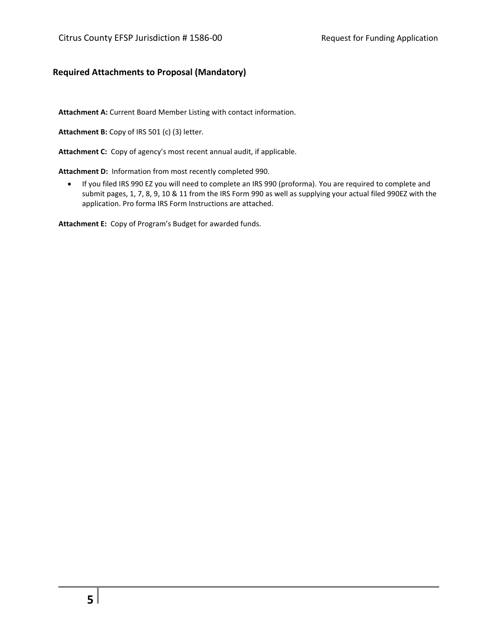## **Required Attachments to Proposal (Mandatory)**

**Attachment A:** Current Board Member Listing with contact information.

**Attachment B:** Copy of IRS 501 (c) (3) letter.

**Attachment C:** Copy of agency's most recent annual audit, if applicable.

**Attachment D:** Information from most recently completed 990.

• If you filed IRS 990 EZ you will need to complete an IRS 990 (proforma). You are required to complete and submit pages, 1, 7, 8, 9, 10 & 11 from the IRS Form 990 as well as supplying your actual filed 990EZ with the application. Pro forma IRS Form Instructions are attached.

**Attachment E:** Copy of Program's Budget for awarded funds.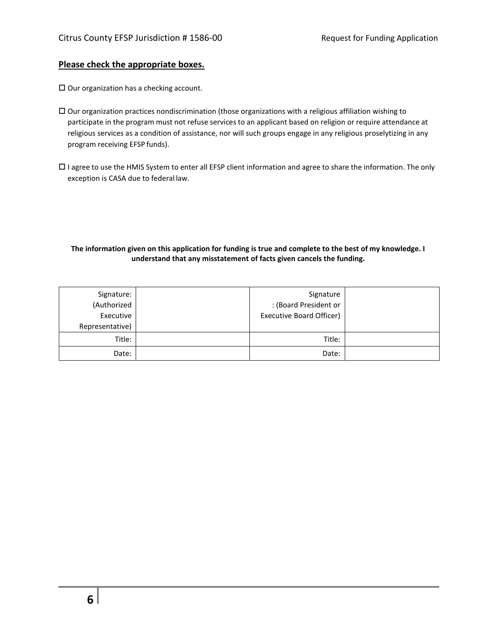#### **Please check the appropriate boxes.**

 $\square$  Our organization has a checking account.

- Our organization practices nondiscrimination (those organizations with a religious affiliation wishing to participate in the program must not refuse services to an applicant based on religion or require attendance at religious services as a condition of assistance, nor will such groups engage in any religious proselytizing in any program receiving EFSP funds).
- $\Box$  I agree to use the HMIS System to enter all EFSP client information and agree to share the information. The only exception is CASA due to federal law.

#### **The information given on this application for funding is true and complete to the best of my knowledge. I understand that any misstatement of facts given cancels the funding.**

| Signature:<br>(Authorized<br>Executive<br>Representative) | Signature<br>: (Board President or<br><b>Executive Board Officer)</b> |  |
|-----------------------------------------------------------|-----------------------------------------------------------------------|--|
| Title:                                                    | Title:                                                                |  |
| Date:                                                     | Date:                                                                 |  |